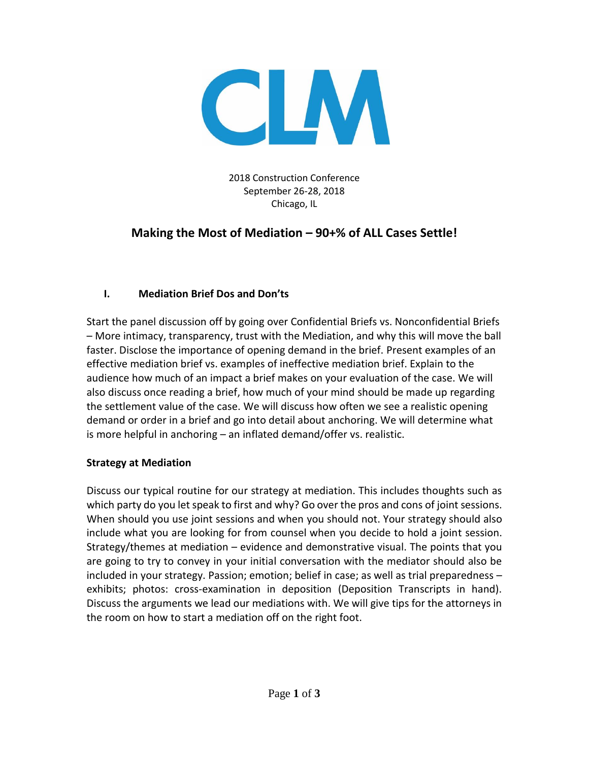

2018 Construction Conference September 26-28, 2018 Chicago, IL

# **Making the Most of Mediation – 90+% of ALL Cases Settle!**

## **I. Mediation Brief Dos and Don'ts**

Start the panel discussion off by going over Confidential Briefs vs. Nonconfidential Briefs – More intimacy, transparency, trust with the Mediation, and why this will move the ball faster. Disclose the importance of opening demand in the brief. Present examples of an effective mediation brief vs. examples of ineffective mediation brief. Explain to the audience how much of an impact a brief makes on your evaluation of the case. We will also discuss once reading a brief, how much of your mind should be made up regarding the settlement value of the case. We will discuss how often we see a realistic opening demand or order in a brief and go into detail about anchoring. We will determine what is more helpful in anchoring – an inflated demand/offer vs. realistic.

### **Strategy at Mediation**

Discuss our typical routine for our strategy at mediation. This includes thoughts such as which party do you let speak to first and why? Go over the pros and cons of joint sessions. When should you use joint sessions and when you should not. Your strategy should also include what you are looking for from counsel when you decide to hold a joint session. Strategy/themes at mediation – evidence and demonstrative visual. The points that you are going to try to convey in your initial conversation with the mediator should also be included in your strategy. Passion; emotion; belief in case; as well as trial preparedness – exhibits; photos: cross-examination in deposition (Deposition Transcripts in hand). Discuss the arguments we lead our mediations with. We will give tips for the attorneys in the room on how to start a mediation off on the right foot.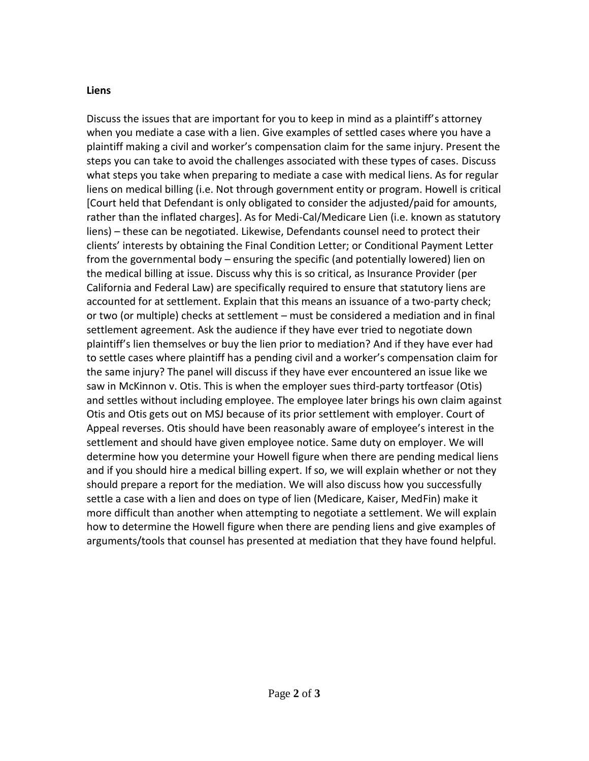#### **Liens**

Discuss the issues that are important for you to keep in mind as a plaintiff's attorney when you mediate a case with a lien. Give examples of settled cases where you have a plaintiff making a civil and worker's compensation claim for the same injury. Present the steps you can take to avoid the challenges associated with these types of cases. Discuss what steps you take when preparing to mediate a case with medical liens. As for regular liens on medical billing (i.e. Not through government entity or program. Howell is critical [Court held that Defendant is only obligated to consider the adjusted/paid for amounts, rather than the inflated charges]. As for Medi-Cal/Medicare Lien (i.e. known as statutory liens) – these can be negotiated. Likewise, Defendants counsel need to protect their clients' interests by obtaining the Final Condition Letter; or Conditional Payment Letter from the governmental body – ensuring the specific (and potentially lowered) lien on the medical billing at issue. Discuss why this is so critical, as Insurance Provider (per California and Federal Law) are specifically required to ensure that statutory liens are accounted for at settlement. Explain that this means an issuance of a two-party check; or two (or multiple) checks at settlement – must be considered a mediation and in final settlement agreement. Ask the audience if they have ever tried to negotiate down plaintiff's lien themselves or buy the lien prior to mediation? And if they have ever had to settle cases where plaintiff has a pending civil and a worker's compensation claim for the same injury? The panel will discuss if they have ever encountered an issue like we saw in McKinnon v. Otis. This is when the employer sues third-party tortfeasor (Otis) and settles without including employee. The employee later brings his own claim against Otis and Otis gets out on MSJ because of its prior settlement with employer. Court of Appeal reverses. Otis should have been reasonably aware of employee's interest in the settlement and should have given employee notice. Same duty on employer. We will determine how you determine your Howell figure when there are pending medical liens and if you should hire a medical billing expert. If so, we will explain whether or not they should prepare a report for the mediation. We will also discuss how you successfully settle a case with a lien and does on type of lien (Medicare, Kaiser, MedFin) make it more difficult than another when attempting to negotiate a settlement. We will explain how to determine the Howell figure when there are pending liens and give examples of arguments/tools that counsel has presented at mediation that they have found helpful.